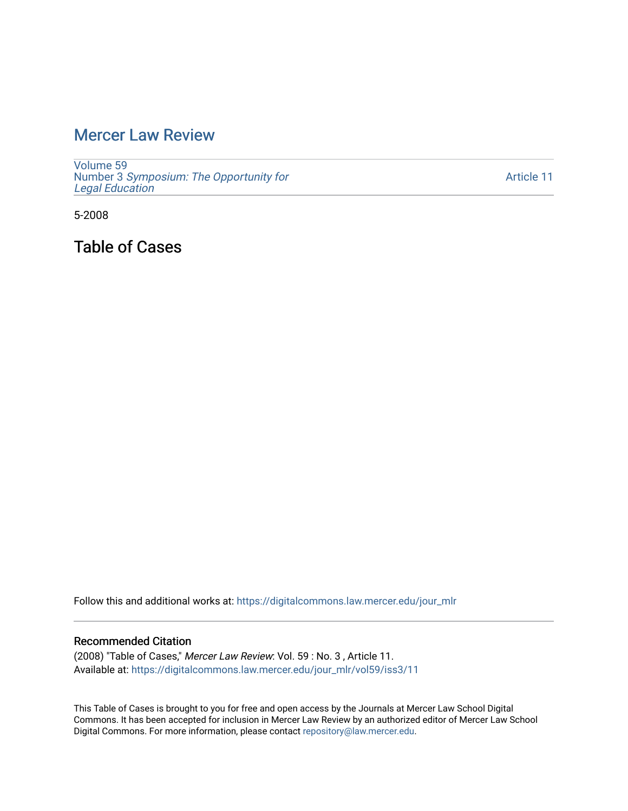## [Mercer Law Review](https://digitalcommons.law.mercer.edu/jour_mlr)

[Volume 59](https://digitalcommons.law.mercer.edu/jour_mlr/vol59) Number 3 [Symposium: The Opportunity for](https://digitalcommons.law.mercer.edu/jour_mlr/vol59/iss3) [Legal Education](https://digitalcommons.law.mercer.edu/jour_mlr/vol59/iss3)

[Article 11](https://digitalcommons.law.mercer.edu/jour_mlr/vol59/iss3/11) 

5-2008

Table of Cases

Follow this and additional works at: [https://digitalcommons.law.mercer.edu/jour\\_mlr](https://digitalcommons.law.mercer.edu/jour_mlr?utm_source=digitalcommons.law.mercer.edu%2Fjour_mlr%2Fvol59%2Fiss3%2F11&utm_medium=PDF&utm_campaign=PDFCoverPages)

## Recommended Citation

(2008) "Table of Cases," Mercer Law Review: Vol. 59 : No. 3 , Article 11. Available at: [https://digitalcommons.law.mercer.edu/jour\\_mlr/vol59/iss3/11](https://digitalcommons.law.mercer.edu/jour_mlr/vol59/iss3/11?utm_source=digitalcommons.law.mercer.edu%2Fjour_mlr%2Fvol59%2Fiss3%2F11&utm_medium=PDF&utm_campaign=PDFCoverPages) 

This Table of Cases is brought to you for free and open access by the Journals at Mercer Law School Digital Commons. It has been accepted for inclusion in Mercer Law Review by an authorized editor of Mercer Law School Digital Commons. For more information, please contact [repository@law.mercer.edu](mailto:repository@law.mercer.edu).